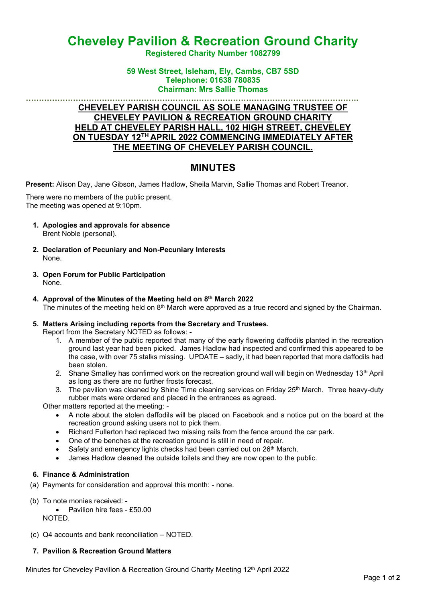# **Cheveley Pavilion & Recreation Ground Charity**

**Registered Charity Number 1082799**

### **59 West Street, Isleham, Ely, Cambs, CB7 5SD Telephone: 01638 780835 Chairman: Mrs Sallie Thomas**

### **………………………………………………………………………………………………………………. CHEVELEY PARISH COUNCIL AS SOLE MANAGING TRUSTEE OF CHEVELEY PAVILION & RECREATION GROUND CHARITY HELD AT CHEVELEY PARISH HALL, 102 HIGH STREET, CHEVELEY ON TUESDAY 12TH APRIL 2022 COMMENCING IMMEDIATELY AFTER THE MEETING OF CHEVELEY PARISH COUNCIL.**

# **MINUTES**

**Present:** Alison Day, Jane Gibson, James Hadlow, Sheila Marvin, Sallie Thomas and Robert Treanor.

There were no members of the public present. The meeting was opened at 9:10pm.

- **1. Apologies and approvals for absence** Brent Noble (personal).
- **2. Declaration of Pecuniary and Non-Pecuniary Interests** None.
- **3. Open Forum for Public Participation** None.
- **4. Approval of the Minutes of the Meeting held on 8 th March 2022** The minutes of the meeting held on 8<sup>th</sup> March were approved as a true record and signed by the Chairman.

## **5. Matters Arising including reports from the Secretary and Trustees.**

Report from the Secretary NOTED as follows: -

- 1. A member of the public reported that many of the early flowering daffodils planted in the recreation ground last year had been picked. James Hadlow had inspected and confirmed this appeared to be the case, with over 75 stalks missing. UPDATE – sadly, it had been reported that more daffodils had been stolen.
- 2. Shane Smalley has confirmed work on the recreation ground wall will begin on Wednesday 13<sup>th</sup> April as long as there are no further frosts forecast.
- 3. The pavilion was cleaned by Shine Time cleaning services on Friday 25<sup>th</sup> March. Three heavy-duty rubber mats were ordered and placed in the entrances as agreed.

Other matters reported at the meeting: -

- A note about the stolen daffodils will be placed on Facebook and a notice put on the board at the recreation ground asking users not to pick them.
- Richard Fullerton had replaced two missing rails from the fence around the car park.
- One of the benches at the recreation ground is still in need of repair.
- Safety and emergency lights checks had been carried out on 26<sup>th</sup> March.
- James Hadlow cleaned the outside toilets and they are now open to the public.

### **6. Finance & Administration**

- (a) Payments for consideration and approval this month: none.
- (b) To note monies received:
	- Pavilion hire fees £50.00 NOTED.
- (c) Q4 accounts and bank reconciliation NOTED.

### **7. Pavilion & Recreation Ground Matters**